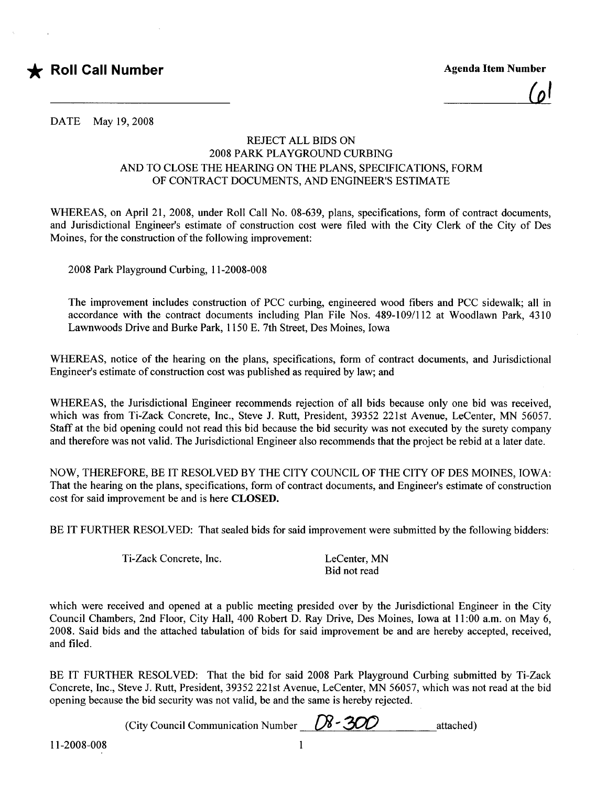

<u>اما</u>

DATE May 19,2008

## REJECT ALL BIDS ON 2008 PARK PLAYGROUND CURBING AND TO CLOSE THE HEARING ON THE PLANS, SPECIFICATIONS, FORM OF CONTRACT DOCUMENTS, AND ENGINEER'S ESTIMATE

WHREAS, on April 21, 2008, under Roll Call No. 08-639, plans, specifications, form of contract documents, and Jurisdictional Engineer's estimate of construction cost were fied with the City Clerk of the City of Des Moines, for the construction of the following improvement:

2008 Park Playground Curbing, 11-2008-008

The improvement includes construction of PCC curbing, engineered wood fibers and PCC sidewalk; all in accordance with the contract documents including Plan File Nos. 489-109/112 at Woodlawn Park, 4310 Lawnwoods Drive and Burke Park, 1150 E. 7th Street, Des Moines, Iowa

WHREAS, notice of the hearing on the plans, specifications, form of contract documents, and Jurisdictional Engineer's estimate of construction cost was published as required by law; and

WHREAS, the Jurisdictional Engineer recommends rejection of all bids because only one bid was received, which was from Ti-Zack Concrete, Inc., Steve J. Rutt, President, 39352 221st Avenue, LeCenter, MN 56057. Staff at the bid opening could not read this bid because the bid security was not executed by the surety company and therefore was not valid. The Jurisdictional Engineer also recommends that the project be rebid at a later date.

NOW, THEREFORE, BE IT RESOLVED BY THE CITY COUNCIL OF THE CITY OF DES MOINES, IOWA: That the hearing on the plans, specifications, form of contract documents, and Engineer's estimate of construction cost for said improvement be and is here CLOSED.

BE IT FURTHER RESOLVED: That sealed bids for said improvement were submitted by the following bidders:

Ti-Zack Concrete, Inc. LeCenter, MN

Bid not read

which were received and opened at a public meeting presided over by the Jurisdictional Engineer in the City Council Chambers, 2nd Floor, City Hall, 400 Robert D. Ray Drive, Des Moines, Iowa at 11 :00 a.m. on May 6, 2008. Said bids and the attached tabulation of bids for said improvement be and are hereby accepted, received, and fied.

BE IT FURTHER RESOLVED: That the bid for said 2008 Park Playground Curbing submitted by Ti-Zack Concrete, Inc., Steve J. Rutt, President, 39352 221st Avenue, LeCenter, MN 56057, which was not read at the bid opening because the bid security was not valid, be and the same is hereby rejected.

(City Council Communication Number  $\left(\frac{\cancel{N}}{200}\right)$  attached)

11-2008-008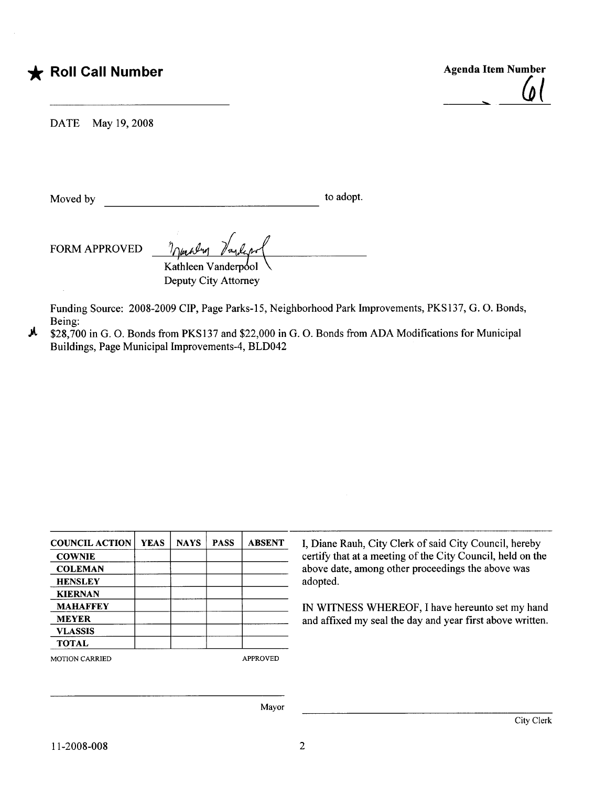## **\*** Roll Call Number

Agenda Item Number <u>. (1</u>

DATE May 19,2008

Moved by to adopt.

 $FORM APPROVED$   $\frac{\eta_{\mu\mu} \mu_{\nu}}{\text{Kathleen Vanderpol}}$ Deputy City Attorney

Funding Source: 2008-2009 CIP, Page Parks-15, Neighborhood Park Improvements, PKS137, G. O. Bonds, Being:

iA \$28,700 in G. O. Bonds from PKS137 and \$22,000 in G. O. Bonds from ADA Modifications for Municipal Buildings, Page Municipal Improvements-4, BLD042

| <b>COUNCIL ACTION</b> | <b>YEAS</b> | <b>NAYS</b> | <b>PASS</b> | <b>ABSENT</b>   | I, Diane Rauh, City Clerk of said City Council, hereby     |  |  |  |  |  |  |  |  |
|-----------------------|-------------|-------------|-------------|-----------------|------------------------------------------------------------|--|--|--|--|--|--|--|--|
| <b>COWNIE</b>         |             |             |             |                 | certify that at a meeting of the City Council, held on the |  |  |  |  |  |  |  |  |
| <b>COLEMAN</b>        |             |             |             |                 | above date, among other proceedings the above was          |  |  |  |  |  |  |  |  |
| <b>HENSLEY</b>        |             |             |             |                 | adopted.                                                   |  |  |  |  |  |  |  |  |
| <b>KIERNAN</b>        |             |             |             |                 |                                                            |  |  |  |  |  |  |  |  |
| <b>MAHAFFEY</b>       |             |             |             |                 | IN WITNESS WHEREOF, I have hereunto set my hand            |  |  |  |  |  |  |  |  |
| <b>MEYER</b>          |             |             |             |                 | and affixed my seal the day and year first above written.  |  |  |  |  |  |  |  |  |
| <b>VLASSIS</b>        |             |             |             |                 |                                                            |  |  |  |  |  |  |  |  |
| <b>TOTAL</b>          |             |             |             |                 |                                                            |  |  |  |  |  |  |  |  |
| <b>MOTION CARRIED</b> |             |             |             | <b>APPROVED</b> |                                                            |  |  |  |  |  |  |  |  |
|                       |             |             |             |                 |                                                            |  |  |  |  |  |  |  |  |
|                       |             |             |             | Mayor           |                                                            |  |  |  |  |  |  |  |  |
|                       |             |             |             |                 | City Clerk                                                 |  |  |  |  |  |  |  |  |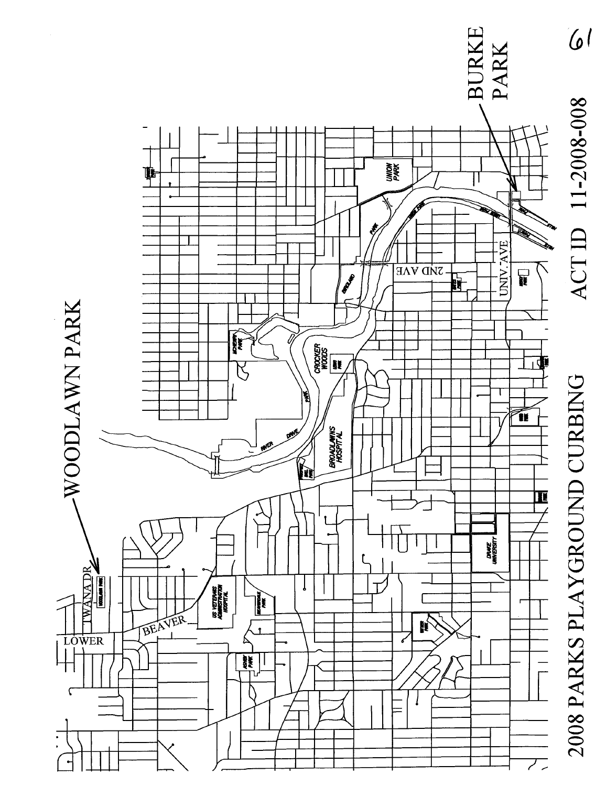